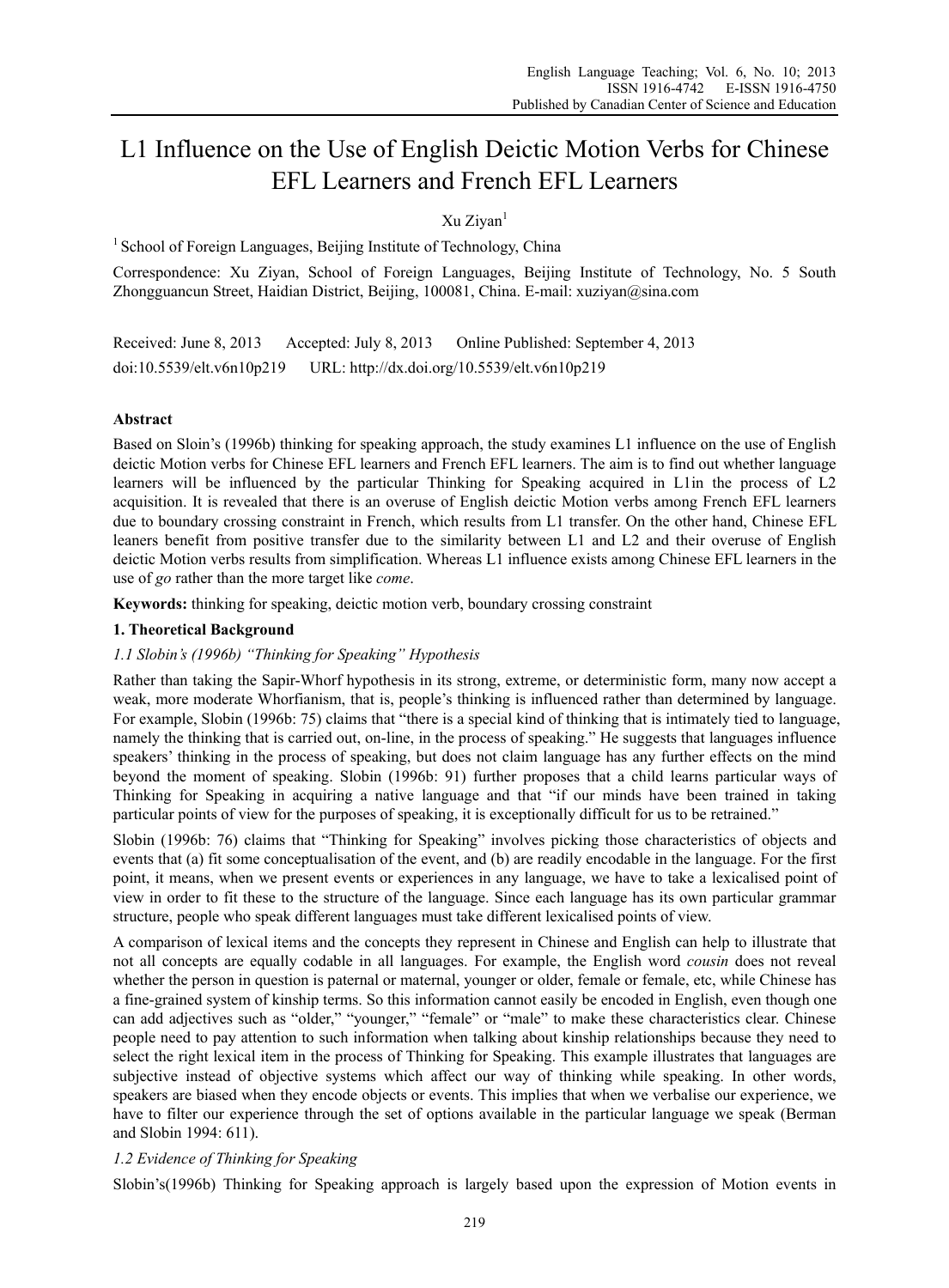# L1 Influence on the Use of English Deictic Motion Verbs for Chinese EFL Learners and French EFL Learners

Xu Ziyan<sup>1</sup>

 $1$  School of Foreign Languages, Beijing Institute of Technology, China

Correspondence: Xu Ziyan, School of Foreign Languages, Beijing Institute of Technology, No. 5 South Zhongguancun Street, Haidian District, Beijing, 100081, China. E-mail: xuziyan@sina.com

Received: June 8, 2013 Accepted: July 8, 2013 Online Published: September 4, 2013 doi:10.5539/elt.v6n10p219 URL: http://dx.doi.org/10.5539/elt.v6n10p219

# **Abstract**

Based on Sloin's (1996b) thinking for speaking approach, the study examines L1 influence on the use of English deictic Motion verbs for Chinese EFL learners and French EFL learners. The aim is to find out whether language learners will be influenced by the particular Thinking for Speaking acquired in L1in the process of L2 acquisition. It is revealed that there is an overuse of English deictic Motion verbs among French EFL learners due to boundary crossing constraint in French, which results from L1 transfer. On the other hand, Chinese EFL leaners benefit from positive transfer due to the similarity between L1 and L2 and their overuse of English deictic Motion verbs results from simplification. Whereas L1 influence exists among Chinese EFL learners in the use of *go* rather than the more target like *come*.

**Keywords:** thinking for speaking, deictic motion verb, boundary crossing constraint

# **1. Theoretical Background**

# *1.1 Slobin's (1996b) "Thinking for Speaking" Hypothesis*

Rather than taking the Sapir-Whorf hypothesis in its strong, extreme, or deterministic form, many now accept a weak, more moderate Whorfianism, that is, people's thinking is influenced rather than determined by language. For example, Slobin (1996b: 75) claims that "there is a special kind of thinking that is intimately tied to language, namely the thinking that is carried out, on-line, in the process of speaking." He suggests that languages influence speakers' thinking in the process of speaking, but does not claim language has any further effects on the mind beyond the moment of speaking. Slobin (1996b: 91) further proposes that a child learns particular ways of Thinking for Speaking in acquiring a native language and that "if our minds have been trained in taking particular points of view for the purposes of speaking, it is exceptionally difficult for us to be retrained."

Slobin (1996b: 76) claims that "Thinking for Speaking" involves picking those characteristics of objects and events that (a) fit some conceptualisation of the event, and (b) are readily encodable in the language. For the first point, it means, when we present events or experiences in any language, we have to take a lexicalised point of view in order to fit these to the structure of the language. Since each language has its own particular grammar structure, people who speak different languages must take different lexicalised points of view.

A comparison of lexical items and the concepts they represent in Chinese and English can help to illustrate that not all concepts are equally codable in all languages. For example, the English word *cousin* does not reveal whether the person in question is paternal or maternal, younger or older, female or female, etc, while Chinese has a fine-grained system of kinship terms. So this information cannot easily be encoded in English, even though one can add adjectives such as "older," "younger," "female" or "male" to make these characteristics clear. Chinese people need to pay attention to such information when talking about kinship relationships because they need to select the right lexical item in the process of Thinking for Speaking. This example illustrates that languages are subjective instead of objective systems which affect our way of thinking while speaking. In other words, speakers are biased when they encode objects or events. This implies that when we verbalise our experience, we have to filter our experience through the set of options available in the particular language we speak (Berman and Slobin 1994: 611).

# *1.2 Evidence of Thinking for Speaking*

Slobin's(1996b) Thinking for Speaking approach is largely based upon the expression of Motion events in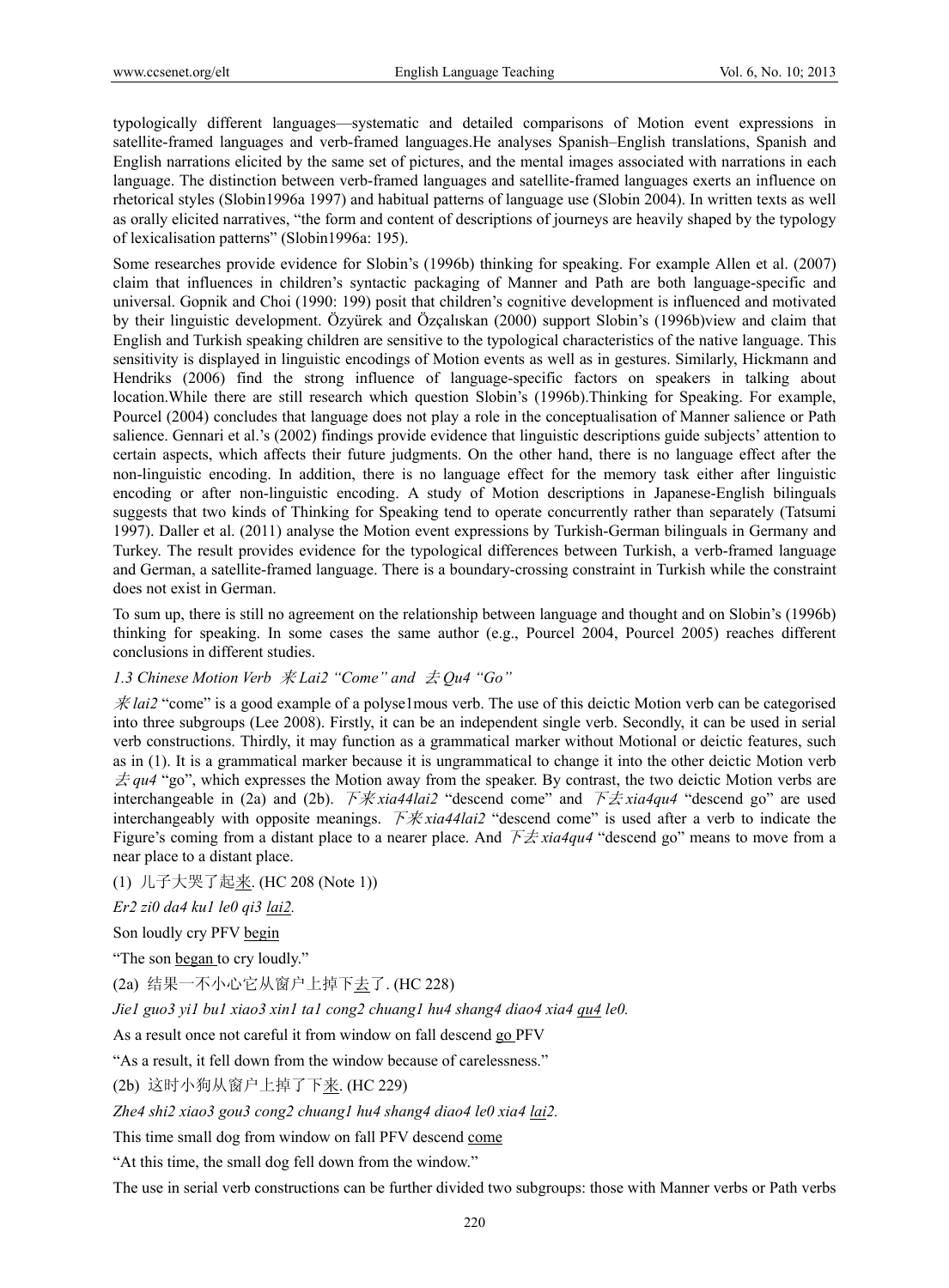typologically different languages—systematic and detailed comparisons of Motion event expressions in satellite-framed languages and verb-framed languages.He analyses Spanish–English translations, Spanish and English narrations elicited by the same set of pictures, and the mental images associated with narrations in each language. The distinction between verb-framed languages and satellite-framed languages exerts an influence on rhetorical styles (Slobin1996a 1997) and habitual patterns of language use (Slobin 2004). In written texts as well as orally elicited narratives, "the form and content of descriptions of journeys are heavily shaped by the typology of lexicalisation patterns" (Slobin1996a: 195).

Some researches provide evidence for Slobin's (1996b) thinking for speaking. For example Allen et al. (2007) claim that influences in children's syntactic packaging of Manner and Path are both language-specific and universal. Gopnik and Choi (1990: 199) posit that children's cognitive development is influenced and motivated by their linguistic development. Özyürek and Özçalıskan (2000) support Slobin's (1996b)view and claim that English and Turkish speaking children are sensitive to the typological characteristics of the native language. This sensitivity is displayed in linguistic encodings of Motion events as well as in gestures. Similarly, Hickmann and Hendriks (2006) find the strong influence of language-specific factors on speakers in talking about location.While there are still research which question Slobin's (1996b).Thinking for Speaking. For example, Pourcel (2004) concludes that language does not play a role in the conceptualisation of Manner salience or Path salience. Gennari et al.'s (2002) findings provide evidence that linguistic descriptions guide subjects' attention to certain aspects, which affects their future judgments. On the other hand, there is no language effect after the non-linguistic encoding. In addition, there is no language effect for the memory task either after linguistic encoding or after non-linguistic encoding. A study of Motion descriptions in Japanese-English bilinguals suggests that two kinds of Thinking for Speaking tend to operate concurrently rather than separately (Tatsumi 1997). Daller et al. (2011) analyse the Motion event expressions by Turkish-German bilinguals in Germany and Turkey. The result provides evidence for the typological differences between Turkish, a verb-framed language and German, a satellite-framed language. There is a boundary-crossing constraint in Turkish while the constraint does not exist in German.

To sum up, there is still no agreement on the relationship between language and thought and on Slobin's (1996b) thinking for speaking. In some cases the same author (e.g., Pourcel 2004, Pourcel 2005) reaches different conclusions in different studies.

# *1.3 Chinese Motion Verb* 来 *Lai2 "Come" and* 去 *Qu4 "Go"*

来 *lai2* "come" is a good example of a polyse1mous verb. The use of this deictic Motion verb can be categorised into three subgroups (Lee 2008). Firstly, it can be an independent single verb. Secondly, it can be used in serial verb constructions. Thirdly, it may function as a grammatical marker without Motional or deictic features, such as in (1). It is a grammatical marker because it is ungrammatical to change it into the other deictic Motion verb  $\pm$  *qu4* "go", which expresses the Motion away from the speaker. By contrast, the two deictic Motion verbs are interchangeable in (2a) and (2b). 下来 *xia44lai2* "descend come" and 下去 *xia4qu4* "descend go" are used interchangeably with opposite meanings. 下来 *xia44lai2* "descend come" is used after a verb to indicate the Figure's coming from a distant place to a nearer place. And 下去 *xia4qu4* "descend go" means to move from a near place to a distant place.

(1) 儿子大哭了起来. (HC 208 (Note 1))

*Er2 zi0 da4 ku1 le0 qi3 lai2.* 

Son loudly cry PFV begin

"The son began to cry loudly."

(2a) 结果一不小心它从窗户上掉下去了. (HC 228)

*Jie1 guo3 yi1 bu1 xiao3 xin1 ta1 cong2 chuang1 hu4 shang4 diao4 xia4 qu4 le0.* 

As a result once not careful it from window on fall descend go PFV

"As a result, it fell down from the window because of carelessness."

(2b) 这时小狗从窗户上掉了下来. (HC 229)

*Zhe4 shi2 xiao3 gou3 cong2 chuang1 hu4 shang4 diao4 le0 xia4 lai2.* 

This time small dog from window on fall PFV descend come

"At this time, the small dog fell down from the window."

The use in serial verb constructions can be further divided two subgroups: those with Manner verbs or Path verbs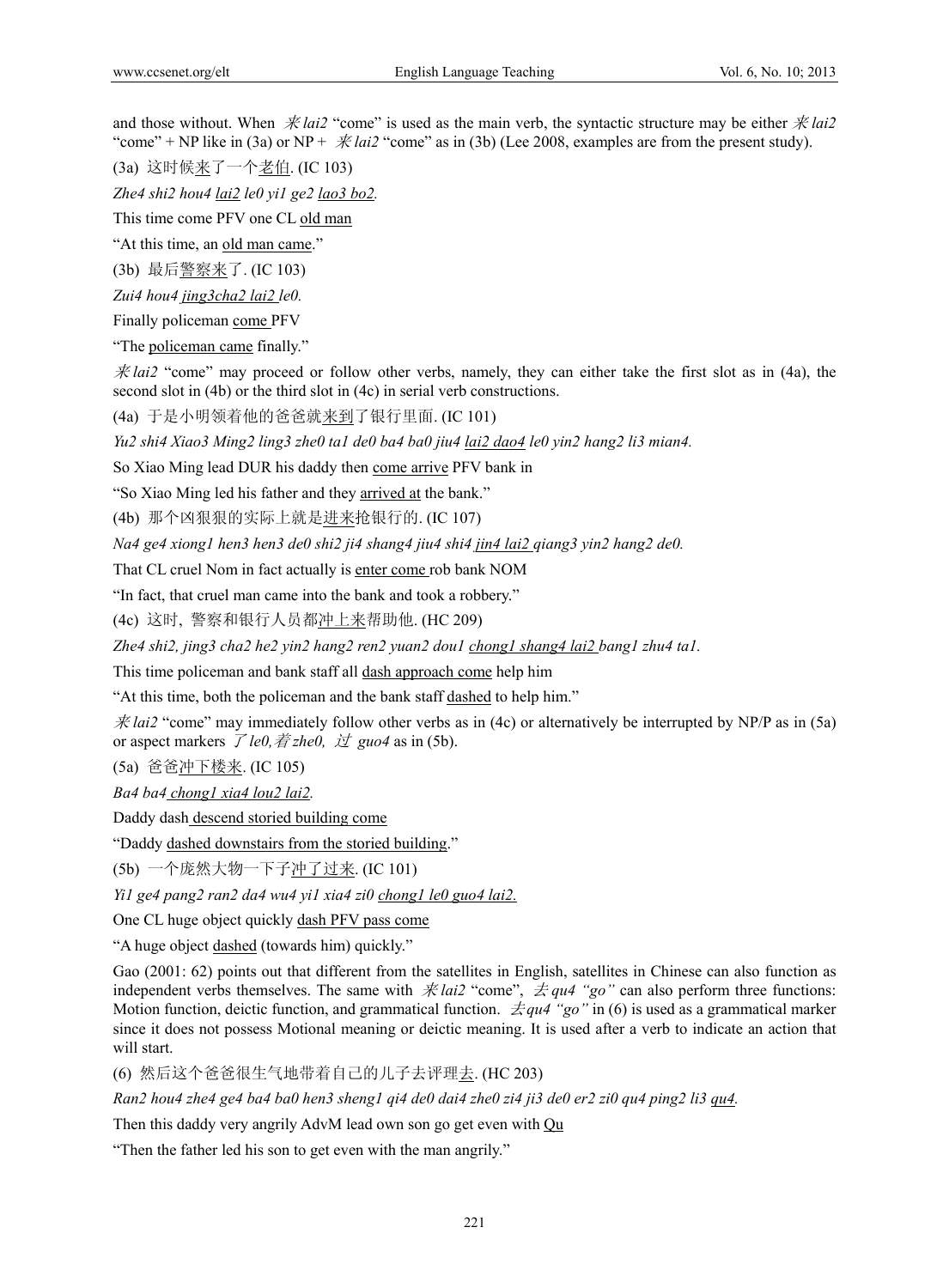and those without. When  $\dot{\mathcal{H}}$  *lai2* "come" is used as the main verb, the syntactic structure may be either  $\dot{\mathcal{H}}$  *lai2* "come" + NP like in (3a) or NP +  $\dot{\mathcal{R}}$  *lai2* "come" as in (3b) (Lee 2008, examples are from the present study).

(3a) 这时候来了一个老伯. (IC 103)

*Zhe4 shi2 hou4 lai2 le0 yi1 ge2 lao3 bo2.* 

This time come PFV one CL old man

"At this time, an old man came."

(3b) 最后警察来了. (IC 103)

*Zui4 hou4 jing3cha2 lai2 le0.* 

Finally policeman come PFV

"The policeman came finally."

 $\dot{\mathcal{R}}$  *lai2* "come" may proceed or follow other verbs, namely, they can either take the first slot as in (4a), the second slot in (4b) or the third slot in (4c) in serial verb constructions.

(4a) 于是小明领着他的爸爸就来到了银行里面. (IC 101)

*Yu2 shi4 Xiao3 Ming2 ling3 zhe0 ta1 de0 ba4 ba0 jiu4 lai2 dao4 le0 yin2 hang2 li3 mian4.* 

So Xiao Ming lead DUR his daddy then come arrive PFV bank in

"So Xiao Ming led his father and they arrived at the bank."

(4b) 那个凶狠狠的实际上就是进来抢银行的. (IC 107)

*Na4 ge4 xiong1 hen3 hen3 de0 shi2 ji4 shang4 jiu4 shi4 jin4 lai2 qiang3 yin2 hang2 de0.* 

That CL cruel Nom in fact actually is enter come rob bank NOM

"In fact, that cruel man came into the bank and took a robbery."

(4c) 这时, 警察和银行人员都冲上来帮助他. (HC 209)

*Zhe4 shi2, jing3 cha2 he2 yin2 hang2 ren2 yuan2 dou1 chong1 shang4 lai2 bang1 zhu4 ta1.* 

This time policeman and bank staff all dash approach come help him

"At this time, both the policeman and the bank staff dashed to help him."

 $\hat{\mathcal{R}}$  *lai2* "come" may immediately follow other verbs as in (4c) or alternatively be interrupted by NP/P as in (5a) or aspect markers  $\overline{\mathcal{J}}$  *le0,*  $\overline{\mathcal{J}}$  *zhe0,*  $\overline{\mathcal{J}}$  *guo4* as in (5b).

(5a) 爸爸冲下楼来. (IC 105)

*Ba4 ba4 chong1 xia4 lou2 lai2.* 

Daddy dash descend storied building come

"Daddy dashed downstairs from the storied building."

(5b) 一个庞然大物一下子冲了过来. (IC 101)

*Yi1 ge4 pang2 ran2 da4 wu4 yi1 xia4 zi0 chong1 le0 guo4 lai2.*

One CL huge object quickly dash PFV pass come

"A huge object dashed (towards him) quickly."

Gao (2001: 62) points out that different from the satellites in English, satellites in Chinese can also function as independent verbs themselves. The same with  $\hat{\mathcal{R}}$  *lai2* "come",  $\hat{\mathcal{Z}}$  *qu4* "go" can also perform three functions: Motion function, deictic function, and grammatical function. 去*qu4 "go"* in (6) is used as a grammatical marker since it does not possess Motional meaning or deictic meaning. It is used after a verb to indicate an action that will start.

(6) 然后这个爸爸很生气地带着自己的儿子去评理去. (HC 203)

*Ran2 hou4 zhe4 ge4 ba4 ba0 hen3 sheng1 qi4 de0 dai4 zhe0 zi4 ji3 de0 er2 zi0 qu4 ping2 li3 qu4.* 

Then this daddy very angrily AdvM lead own son go get even with Qu

"Then the father led his son to get even with the man angrily."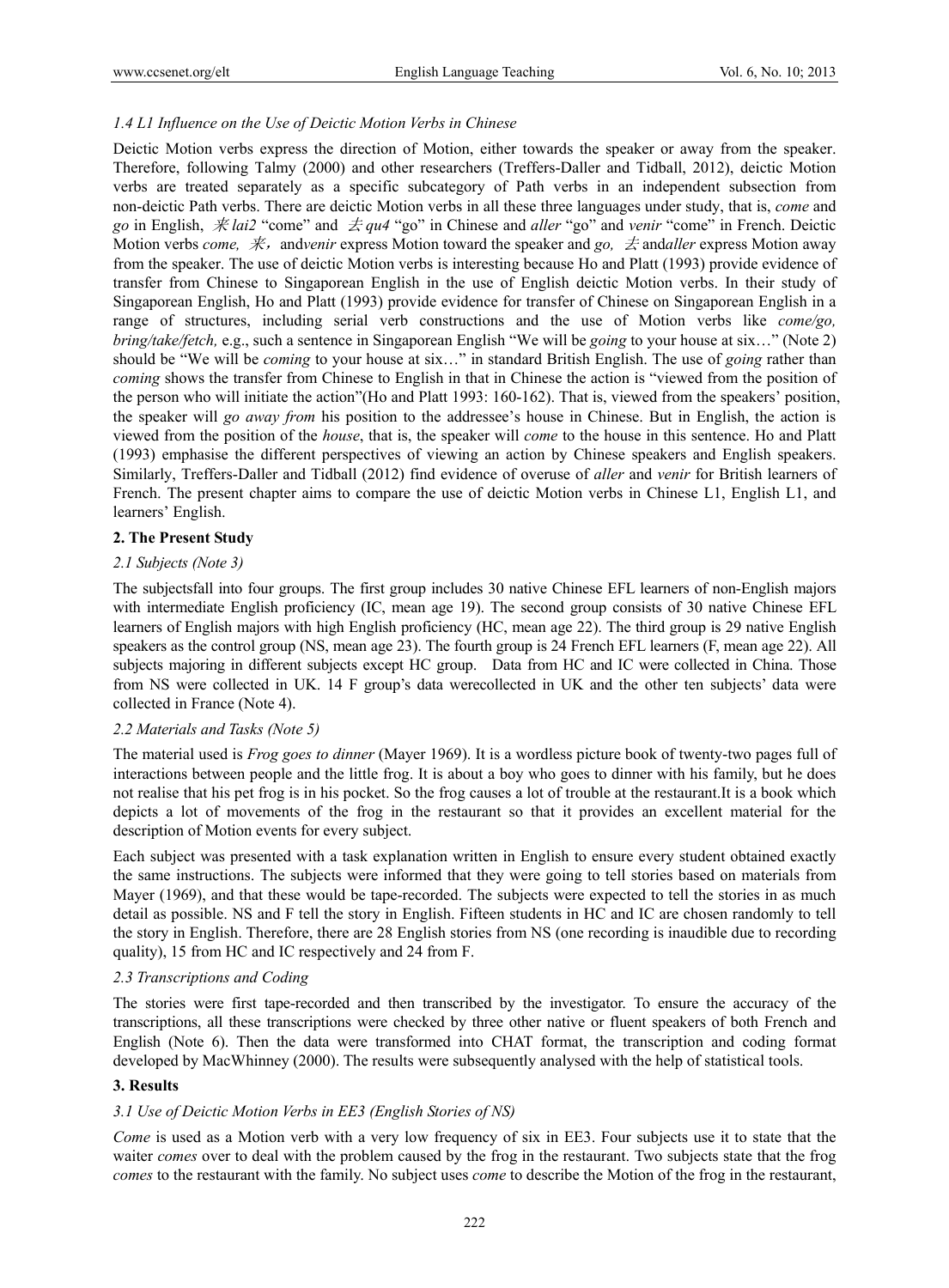# *1.4 L1 Influence on the Use of Deictic Motion Verbs in Chinese*

Deictic Motion verbs express the direction of Motion, either towards the speaker or away from the speaker. Therefore, following Talmy (2000) and other researchers (Treffers-Daller and Tidball, 2012), deictic Motion verbs are treated separately as a specific subcategory of Path verbs in an independent subsection from non-deictic Path verbs. There are deictic Motion verbs in all these three languages under study, that is, *come* and *go* in English, 来 *lai2* "come" and 去 *qu4* "go" in Chinese and *aller* "go" and *venir* "come" in French. Deictic Motion verbs *come, 来,* and*venir* express Motion toward the speaker and *go, 去* and *aller* express Motion away from the speaker. The use of deictic Motion verbs is interesting because Ho and Platt (1993) provide evidence of transfer from Chinese to Singaporean English in the use of English deictic Motion verbs. In their study of Singaporean English, Ho and Platt (1993) provide evidence for transfer of Chinese on Singaporean English in a range of structures, including serial verb constructions and the use of Motion verbs like *come/go, bring/take/fetch,* e.g., such a sentence in Singaporean English "We will be *going* to your house at six…" (Note 2) should be "We will be *coming* to your house at six…" in standard British English. The use of *going* rather than *coming* shows the transfer from Chinese to English in that in Chinese the action is "viewed from the position of the person who will initiate the action"(Ho and Platt 1993: 160-162). That is, viewed from the speakers' position, the speaker will *go away from* his position to the addressee's house in Chinese. But in English, the action is viewed from the position of the *house*, that is, the speaker will *come* to the house in this sentence. Ho and Platt (1993) emphasise the different perspectives of viewing an action by Chinese speakers and English speakers. Similarly, Treffers-Daller and Tidball (2012) find evidence of overuse of *aller* and *venir* for British learners of French. The present chapter aims to compare the use of deictic Motion verbs in Chinese L1, English L1, and learners' English.

# **2. The Present Study**

# *2.1 Subjects (Note 3)*

The subjectsfall into four groups. The first group includes 30 native Chinese EFL learners of non-English majors with intermediate English proficiency (IC, mean age 19). The second group consists of 30 native Chinese EFL learners of English majors with high English proficiency (HC, mean age 22). The third group is 29 native English speakers as the control group (NS, mean age 23). The fourth group is 24 French EFL learners (F, mean age 22). All subjects majoring in different subjects except HC group. Data from HC and IC were collected in China. Those from NS were collected in UK. 14 F group's data werecollected in UK and the other ten subjects' data were collected in France (Note 4).

# *2.2 Materials and Tasks (Note 5)*

The material used is *Frog goes to dinner* (Mayer 1969). It is a wordless picture book of twenty-two pages full of interactions between people and the little frog. It is about a boy who goes to dinner with his family, but he does not realise that his pet frog is in his pocket. So the frog causes a lot of trouble at the restaurant.It is a book which depicts a lot of movements of the frog in the restaurant so that it provides an excellent material for the description of Motion events for every subject.

Each subject was presented with a task explanation written in English to ensure every student obtained exactly the same instructions. The subjects were informed that they were going to tell stories based on materials from Mayer (1969), and that these would be tape-recorded. The subjects were expected to tell the stories in as much detail as possible. NS and F tell the story in English. Fifteen students in HC and IC are chosen randomly to tell the story in English. Therefore, there are 28 English stories from NS (one recording is inaudible due to recording quality), 15 from HC and IC respectively and 24 from F.

#### *2.3 Transcriptions and Coding*

The stories were first tape-recorded and then transcribed by the investigator. To ensure the accuracy of the transcriptions, all these transcriptions were checked by three other native or fluent speakers of both French and English (Note 6). Then the data were transformed into CHAT format, the transcription and coding format developed by MacWhinney (2000). The results were subsequently analysed with the help of statistical tools.

# **3. Results**

# *3.1 Use of Deictic Motion Verbs in EE3 (English Stories of NS)*

*Come* is used as a Motion verb with a very low frequency of six in EE3. Four subjects use it to state that the waiter *comes* over to deal with the problem caused by the frog in the restaurant. Two subjects state that the frog *comes* to the restaurant with the family. No subject uses *come* to describe the Motion of the frog in the restaurant,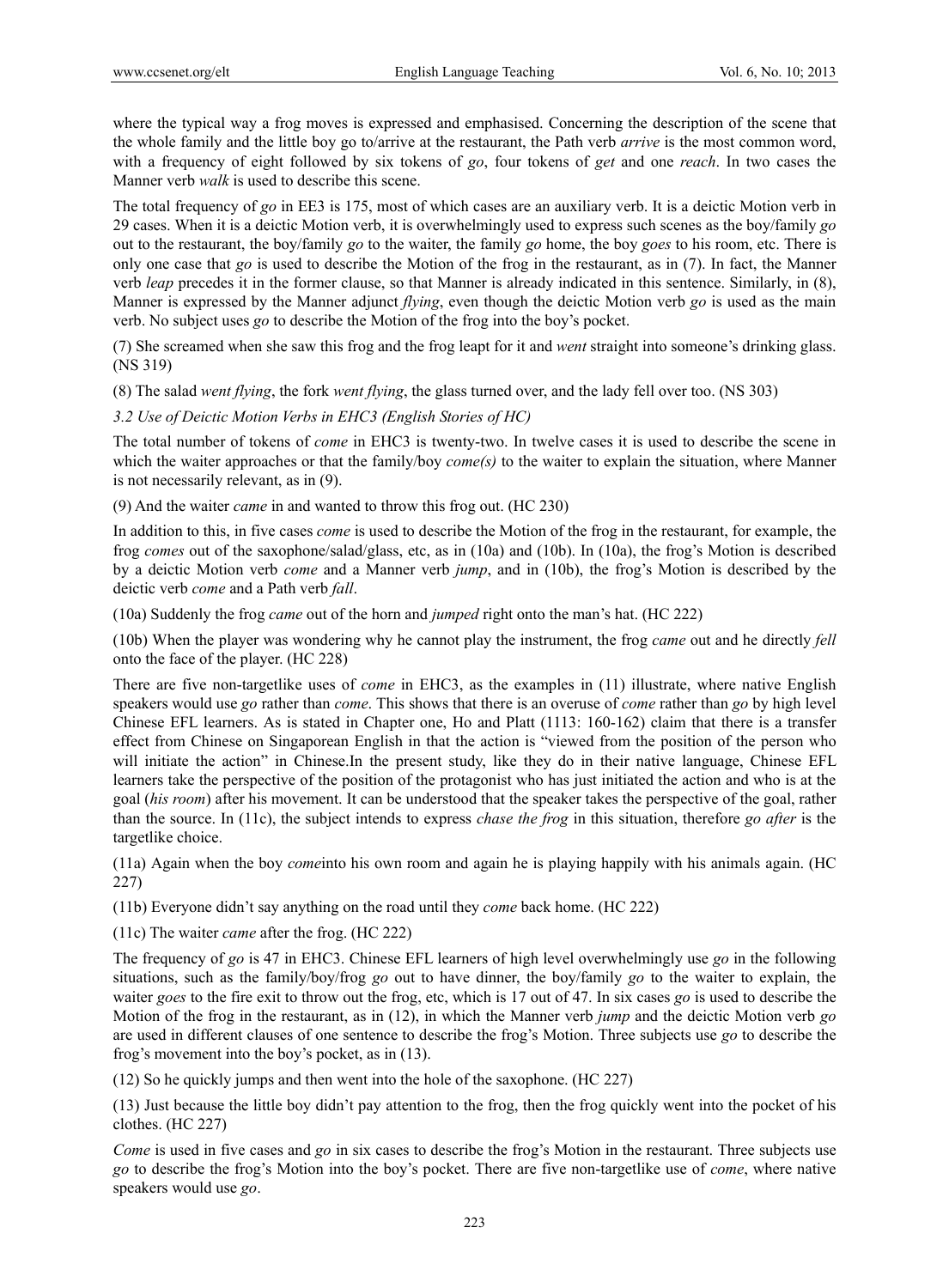where the typical way a frog moves is expressed and emphasised. Concerning the description of the scene that the whole family and the little boy go to/arrive at the restaurant, the Path verb *arrive* is the most common word, with a frequency of eight followed by six tokens of *go*, four tokens of *get* and one *reach*. In two cases the Manner verb *walk* is used to describe this scene.

The total frequency of *go* in EE3 is 175, most of which cases are an auxiliary verb. It is a deictic Motion verb in 29 cases. When it is a deictic Motion verb, it is overwhelmingly used to express such scenes as the boy/family *go* out to the restaurant, the boy/family *go* to the waiter, the family *go* home, the boy *goes* to his room, etc. There is only one case that *go* is used to describe the Motion of the frog in the restaurant, as in (7). In fact, the Manner verb *leap* precedes it in the former clause, so that Manner is already indicated in this sentence. Similarly, in (8), Manner is expressed by the Manner adjunct *flying*, even though the deictic Motion verb *go* is used as the main verb. No subject uses *go* to describe the Motion of the frog into the boy's pocket.

(7) She screamed when she saw this frog and the frog leapt for it and *went* straight into someone's drinking glass. (NS 319)

(8) The salad *went flying*, the fork *went flying*, the glass turned over, and the lady fell over too. (NS 303)

*3.2 Use of Deictic Motion Verbs in EHC3 (English Stories of HC)* 

The total number of tokens of *come* in EHC3 is twenty-two. In twelve cases it is used to describe the scene in which the waiter approaches or that the family/boy *come(s)* to the waiter to explain the situation, where Manner is not necessarily relevant, as in (9).

(9) And the waiter *came* in and wanted to throw this frog out. (HC 230)

In addition to this, in five cases *come* is used to describe the Motion of the frog in the restaurant, for example, the frog *comes* out of the saxophone/salad/glass, etc, as in (10a) and (10b). In (10a), the frog's Motion is described by a deictic Motion verb *come* and a Manner verb *jump*, and in (10b), the frog's Motion is described by the deictic verb *come* and a Path verb *fall*.

(10a) Suddenly the frog *came* out of the horn and *jumped* right onto the man's hat. (HC 222)

(10b) When the player was wondering why he cannot play the instrument, the frog *came* out and he directly *fell* onto the face of the player. (HC 228)

There are five non-targetlike uses of *come* in EHC3, as the examples in (11) illustrate, where native English speakers would use *go* rather than *come*. This shows that there is an overuse of *come* rather than *go* by high level Chinese EFL learners. As is stated in Chapter one, Ho and Platt (1113: 160-162) claim that there is a transfer effect from Chinese on Singaporean English in that the action is "viewed from the position of the person who will initiate the action" in Chinese.In the present study, like they do in their native language, Chinese EFL learners take the perspective of the position of the protagonist who has just initiated the action and who is at the goal (*his room*) after his movement. It can be understood that the speaker takes the perspective of the goal, rather than the source. In (11c), the subject intends to express *chase the frog* in this situation, therefore *go after* is the targetlike choice.

(11a) Again when the boy *come*into his own room and again he is playing happily with his animals again. (HC 227)

(11b) Everyone didn't say anything on the road until they *come* back home. (HC 222)

(11c) The waiter *came* after the frog. (HC 222)

The frequency of *go* is 47 in EHC3. Chinese EFL learners of high level overwhelmingly use *go* in the following situations, such as the family/boy/frog *go* out to have dinner, the boy/family *go* to the waiter to explain, the waiter *goes* to the fire exit to throw out the frog, etc, which is 17 out of 47. In six cases *go* is used to describe the Motion of the frog in the restaurant, as in (12), in which the Manner verb *jump* and the deictic Motion verb *go* are used in different clauses of one sentence to describe the frog's Motion. Three subjects use *go* to describe the frog's movement into the boy's pocket, as in (13).

(12) So he quickly jumps and then went into the hole of the saxophone. (HC 227)

(13) Just because the little boy didn't pay attention to the frog, then the frog quickly went into the pocket of his clothes. (HC 227)

*Come* is used in five cases and *go* in six cases to describe the frog's Motion in the restaurant. Three subjects use *go* to describe the frog's Motion into the boy's pocket. There are five non-targetlike use of *come*, where native speakers would use *go*.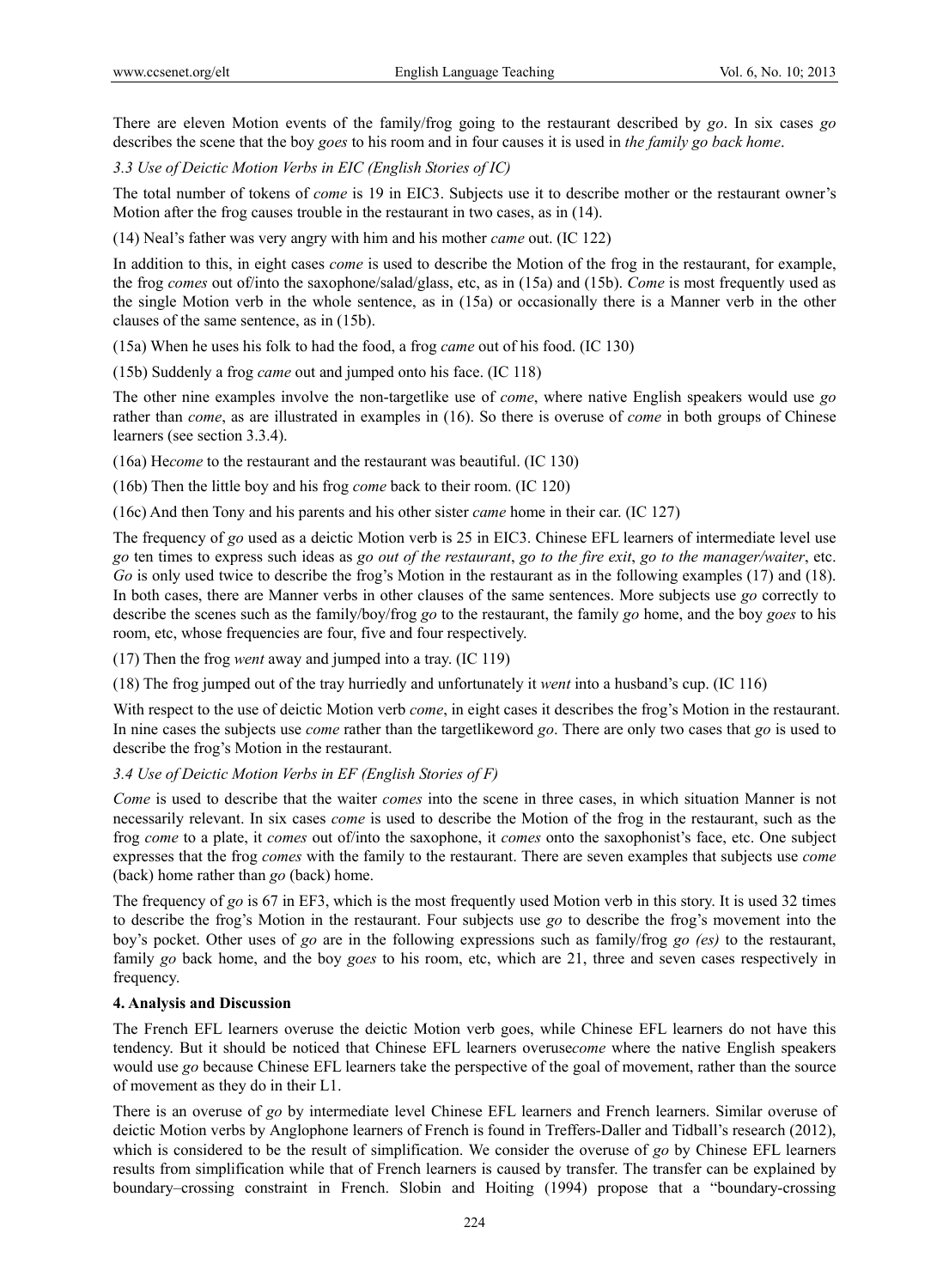There are eleven Motion events of the family/frog going to the restaurant described by *go*. In six cases *go* describes the scene that the boy *goes* to his room and in four causes it is used in *the family go back home*.

*3.3 Use of Deictic Motion Verbs in EIC (English Stories of IC)* 

The total number of tokens of *come* is 19 in EIC3. Subjects use it to describe mother or the restaurant owner's Motion after the frog causes trouble in the restaurant in two cases, as in (14).

(14) Neal's father was very angry with him and his mother *came* out. (IC 122)

In addition to this, in eight cases *come* is used to describe the Motion of the frog in the restaurant, for example, the frog *comes* out of/into the saxophone/salad/glass, etc, as in (15a) and (15b). *Come* is most frequently used as the single Motion verb in the whole sentence, as in (15a) or occasionally there is a Manner verb in the other clauses of the same sentence, as in (15b).

(15a) When he uses his folk to had the food, a frog *came* out of his food. (IC 130)

(15b) Suddenly a frog *came* out and jumped onto his face. (IC 118)

The other nine examples involve the non-targetlike use of *come*, where native English speakers would use *go* rather than *come*, as are illustrated in examples in (16). So there is overuse of *come* in both groups of Chinese learners (see section 3.3.4).

(16a) He*come* to the restaurant and the restaurant was beautiful. (IC 130)

(16b) Then the little boy and his frog *come* back to their room. (IC 120)

(16c) And then Tony and his parents and his other sister *came* home in their car. (IC 127)

The frequency of *go* used as a deictic Motion verb is 25 in EIC3. Chinese EFL learners of intermediate level use *go* ten times to express such ideas as *go out of the restaurant*, *go to the fire exit*, *go to the manager/waiter*, etc. *Go* is only used twice to describe the frog's Motion in the restaurant as in the following examples (17) and (18). In both cases, there are Manner verbs in other clauses of the same sentences. More subjects use *go* correctly to describe the scenes such as the family/boy/frog *go* to the restaurant, the family *go* home, and the boy *goes* to his room, etc, whose frequencies are four, five and four respectively.

(17) Then the frog *went* away and jumped into a tray. (IC 119)

(18) The frog jumped out of the tray hurriedly and unfortunately it *went* into a husband's cup. (IC 116)

With respect to the use of deictic Motion verb *come*, in eight cases it describes the frog's Motion in the restaurant. In nine cases the subjects use *come* rather than the targetlikeword *go*. There are only two cases that *go* is used to describe the frog's Motion in the restaurant.

# *3.4 Use of Deictic Motion Verbs in EF (English Stories of F)*

*Come* is used to describe that the waiter *comes* into the scene in three cases, in which situation Manner is not necessarily relevant. In six cases *come* is used to describe the Motion of the frog in the restaurant, such as the frog *come* to a plate, it *comes* out of/into the saxophone, it *comes* onto the saxophonist's face, etc. One subject expresses that the frog *comes* with the family to the restaurant. There are seven examples that subjects use *come* (back) home rather than *go* (back) home.

The frequency of *go* is 67 in EF3, which is the most frequently used Motion verb in this story. It is used 32 times to describe the frog's Motion in the restaurant. Four subjects use *go* to describe the frog's movement into the boy's pocket. Other uses of *go* are in the following expressions such as family/frog *go (es)* to the restaurant, family *go* back home, and the boy *goes* to his room, etc, which are 21, three and seven cases respectively in frequency.

#### **4. Analysis and Discussion**

The French EFL learners overuse the deictic Motion verb goes, while Chinese EFL learners do not have this tendency. But it should be noticed that Chinese EFL learners overuse*come* where the native English speakers would use *go* because Chinese EFL learners take the perspective of the goal of movement, rather than the source of movement as they do in their L1.

There is an overuse of *go* by intermediate level Chinese EFL learners and French learners. Similar overuse of deictic Motion verbs by Anglophone learners of French is found in Treffers-Daller and Tidball's research (2012), which is considered to be the result of simplification. We consider the overuse of *go* by Chinese EFL learners results from simplification while that of French learners is caused by transfer. The transfer can be explained by boundary–crossing constraint in French. Slobin and Hoiting (1994) propose that a "boundary-crossing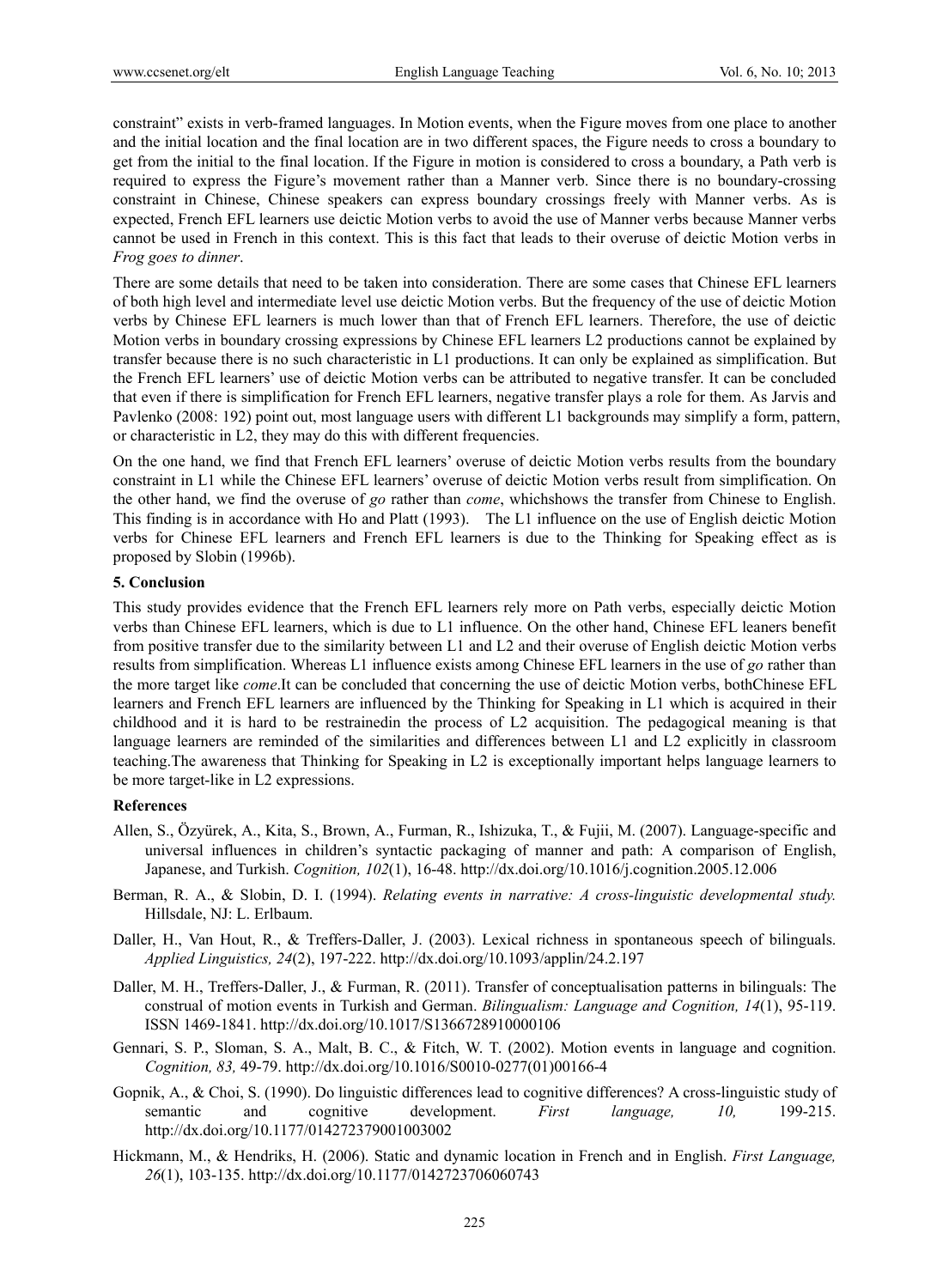constraint" exists in verb-framed languages. In Motion events, when the Figure moves from one place to another and the initial location and the final location are in two different spaces, the Figure needs to cross a boundary to get from the initial to the final location. If the Figure in motion is considered to cross a boundary, a Path verb is required to express the Figure's movement rather than a Manner verb. Since there is no boundary-crossing constraint in Chinese, Chinese speakers can express boundary crossings freely with Manner verbs. As is expected, French EFL learners use deictic Motion verbs to avoid the use of Manner verbs because Manner verbs cannot be used in French in this context. This is this fact that leads to their overuse of deictic Motion verbs in *Frog goes to dinner*.

There are some details that need to be taken into consideration. There are some cases that Chinese EFL learners of both high level and intermediate level use deictic Motion verbs. But the frequency of the use of deictic Motion verbs by Chinese EFL learners is much lower than that of French EFL learners. Therefore, the use of deictic Motion verbs in boundary crossing expressions by Chinese EFL learners L2 productions cannot be explained by transfer because there is no such characteristic in L1 productions. It can only be explained as simplification. But the French EFL learners' use of deictic Motion verbs can be attributed to negative transfer. It can be concluded that even if there is simplification for French EFL learners, negative transfer plays a role for them. As Jarvis and Pavlenko (2008: 192) point out, most language users with different L1 backgrounds may simplify a form, pattern, or characteristic in L2, they may do this with different frequencies.

On the one hand, we find that French EFL learners' overuse of deictic Motion verbs results from the boundary constraint in L1 while the Chinese EFL learners' overuse of deictic Motion verbs result from simplification. On the other hand, we find the overuse of *go* rather than *come*, whichshows the transfer from Chinese to English. This finding is in accordance with Ho and Platt (1993). The L1 influence on the use of English deictic Motion verbs for Chinese EFL learners and French EFL learners is due to the Thinking for Speaking effect as is proposed by Slobin (1996b).

# **5. Conclusion**

This study provides evidence that the French EFL learners rely more on Path verbs, especially deictic Motion verbs than Chinese EFL learners, which is due to L1 influence. On the other hand, Chinese EFL leaners benefit from positive transfer due to the similarity between L1 and L2 and their overuse of English deictic Motion verbs results from simplification. Whereas L1 influence exists among Chinese EFL learners in the use of *go* rather than the more target like *come*.It can be concluded that concerning the use of deictic Motion verbs, bothChinese EFL learners and French EFL learners are influenced by the Thinking for Speaking in L1 which is acquired in their childhood and it is hard to be restrainedin the process of L2 acquisition. The pedagogical meaning is that language learners are reminded of the similarities and differences between L1 and L2 explicitly in classroom teaching.The awareness that Thinking for Speaking in L2 is exceptionally important helps language learners to be more target-like in L2 expressions.

# **References**

- Allen, S., Özyürek, A., Kita, S., Brown, A., Furman, R., Ishizuka, T., & Fujii, M. (2007). Language-specific and universal influences in children's syntactic packaging of manner and path: A comparison of English, Japanese, and Turkish. *Cognition, 102*(1), 16-48. http://dx.doi.org/10.1016/j.cognition.2005.12.006
- Berman, R. A., & Slobin, D. I. (1994). *Relating events in narrative: A cross-linguistic developmental study.*  Hillsdale, NJ: L. Erlbaum.
- Daller, H., Van Hout, R., & Treffers-Daller, J. (2003). Lexical richness in spontaneous speech of bilinguals. *Applied Linguistics, 24*(2), 197-222. http://dx.doi.org/10.1093/applin/24.2.197
- Daller, M. H., Treffers-Daller, J., & Furman, R. (2011). Transfer of conceptualisation patterns in bilinguals: The construal of motion events in Turkish and German. *Bilingualism: Language and Cognition, 14*(1), 95-119. ISSN 1469-1841. http://dx.doi.org/10.1017/S1366728910000106
- Gennari, S. P., Sloman, S. A., Malt, B. C., & Fitch, W. T. (2002). Motion events in language and cognition. *Cognition, 83,* 49-79. http://dx.doi.org/10.1016/S0010-0277(01)00166-4
- Gopnik, A., & Choi, S. (1990). Do linguistic differences lead to cognitive differences? A cross-linguistic study of semantic and cognitive development. *First language, 10,* 199-215. http://dx.doi.org/10.1177/014272379001003002
- Hickmann, M., & Hendriks, H. (2006). Static and dynamic location in French and in English. *First Language, 26*(1), 103-135. http://dx.doi.org/10.1177/0142723706060743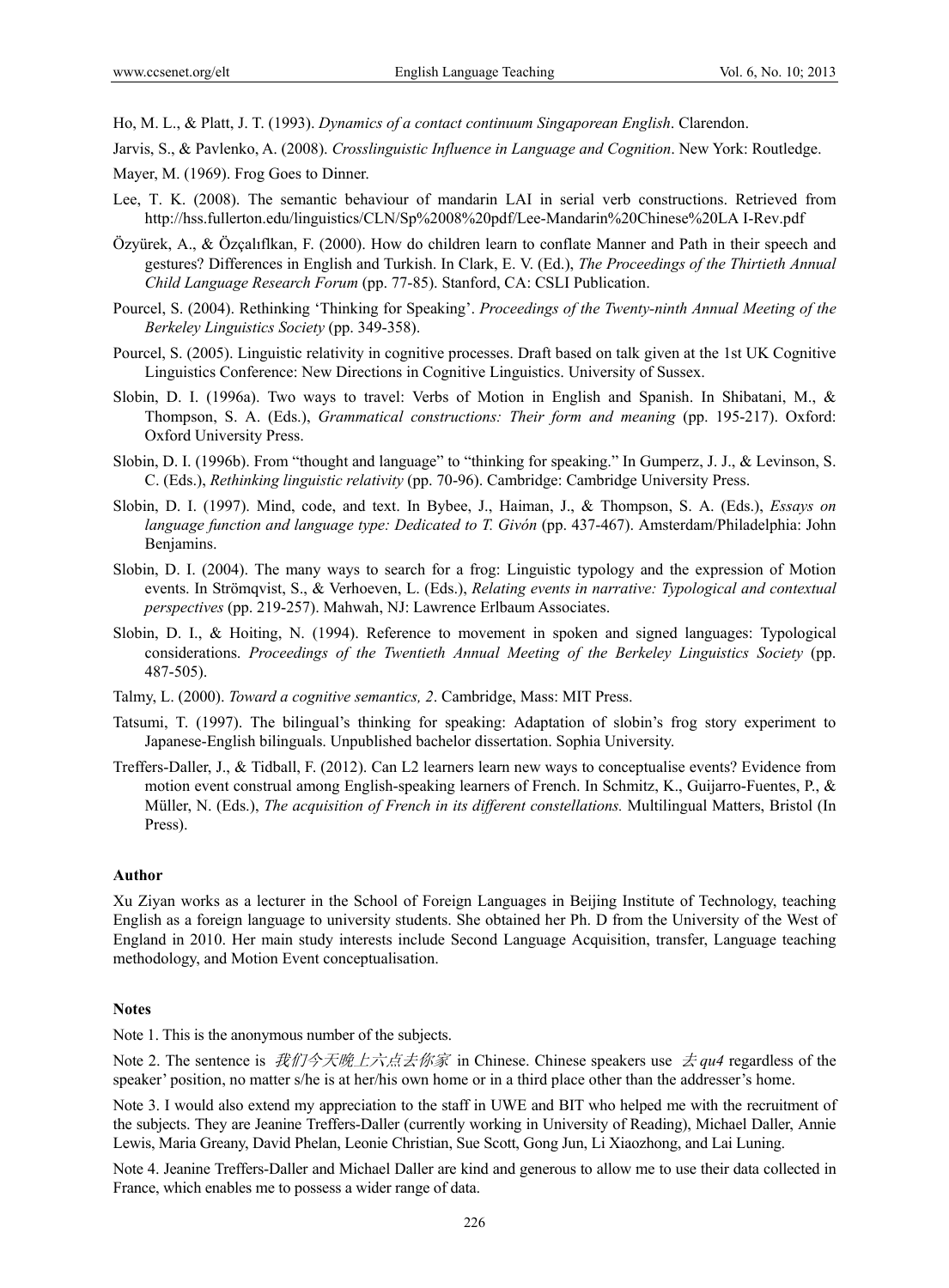Ho, M. L., & Platt, J. T. (1993). *Dynamics of a contact continuum Singaporean English*. Clarendon.

Jarvis, S., & Pavlenko, A. (2008). *Crosslinguistic Influence in Language and Cognition*. New York: Routledge.

Mayer, M. (1969). Frog Goes to Dinner.

- Lee, T. K. (2008). The semantic behaviour of mandarin LAI in serial verb constructions. Retrieved from http://hss.fullerton.edu/linguistics/CLN/Sp%2008%20pdf/Lee-Mandarin%20Chinese%20LA I-Rev.pdf
- Özyürek, A., & Özçalıflkan, F. (2000). How do children learn to conflate Manner and Path in their speech and gestures? Differences in English and Turkish. In Clark, E. V. (Ed.), *The Proceedings of the Thirtieth Annual Child Language Research Forum* (pp. 77-85). Stanford, CA: CSLI Publication.
- Pourcel, S. (2004). Rethinking 'Thinking for Speaking'. *Proceedings of the Twenty-ninth Annual Meeting of the Berkeley Linguistics Society* (pp. 349-358).
- Pourcel, S. (2005). Linguistic relativity in cognitive processes. Draft based on talk given at the 1st UK Cognitive Linguistics Conference: New Directions in Cognitive Linguistics. University of Sussex.
- Slobin, D. I. (1996a). Two ways to travel: Verbs of Motion in English and Spanish. In Shibatani, M., & Thompson, S. A. (Eds.), *Grammatical constructions: Their form and meaning* (pp. 195-217). Oxford: Oxford University Press.
- Slobin, D. I. (1996b). From "thought and language" to "thinking for speaking." In Gumperz, J. J., & Levinson, S. C. (Eds.), *Rethinking linguistic relativity* (pp. 70-96). Cambridge: Cambridge University Press.
- Slobin, D. I. (1997). Mind, code, and text. In Bybee, J., Haiman, J., & Thompson, S. A. (Eds.), *Essays on language function and language type: Dedicated to T. Givón* (pp. 437-467). Amsterdam/Philadelphia: John Benjamins.
- Slobin, D. I. (2004). The many ways to search for a frog: Linguistic typology and the expression of Motion events. In Strömqvist, S., & Verhoeven, L. (Eds.), *Relating events in narrative: Typological and contextual perspectives* (pp. 219-257). Mahwah, NJ: Lawrence Erlbaum Associates.
- Slobin, D. I., & Hoiting, N. (1994). Reference to movement in spoken and signed languages: Typological considerations. *Proceedings of the Twentieth Annual Meeting of the Berkeley Linguistics Society* (pp. 487-505).
- Talmy, L. (2000). *Toward a cognitive semantics, 2*. Cambridge, Mass: MIT Press.
- Tatsumi, T. (1997). The bilingual's thinking for speaking: Adaptation of slobin's frog story experiment to Japanese-English bilinguals. Unpublished bachelor dissertation. Sophia University.
- Treffers-Daller, J., & Tidball, F. (2012). Can L2 learners learn new ways to conceptualise events? Evidence from motion event construal among English-speaking learners of French. In Schmitz, K., Guijarro-Fuentes, P., & Müller, N. (Eds.), *The acquisition of French in its different constellations.* Multilingual Matters, Bristol (In Press).

#### **Author**

Xu Ziyan works as a lecturer in the School of Foreign Languages in Beijing Institute of Technology, teaching English as a foreign language to university students. She obtained her Ph. D from the University of the West of England in 2010. Her main study interests include Second Language Acquisition, transfer, Language teaching methodology, and Motion Event conceptualisation.

#### **Notes**

Note 1. This is the anonymous number of the subjects.

Note 2. The sentence is 我们今天晚上六点去你家 in Chinese. Chinese speakers use 去 *qu4* regardless of the speaker' position, no matter s/he is at her/his own home or in a third place other than the addresser's home.

Note 3. I would also extend my appreciation to the staff in UWE and BIT who helped me with the recruitment of the subjects. They are Jeanine Treffers-Daller (currently working in University of Reading), Michael Daller, Annie Lewis, Maria Greany, David Phelan, Leonie Christian, Sue Scott, Gong Jun, Li Xiaozhong, and Lai Luning.

Note 4. Jeanine Treffers-Daller and Michael Daller are kind and generous to allow me to use their data collected in France, which enables me to possess a wider range of data.